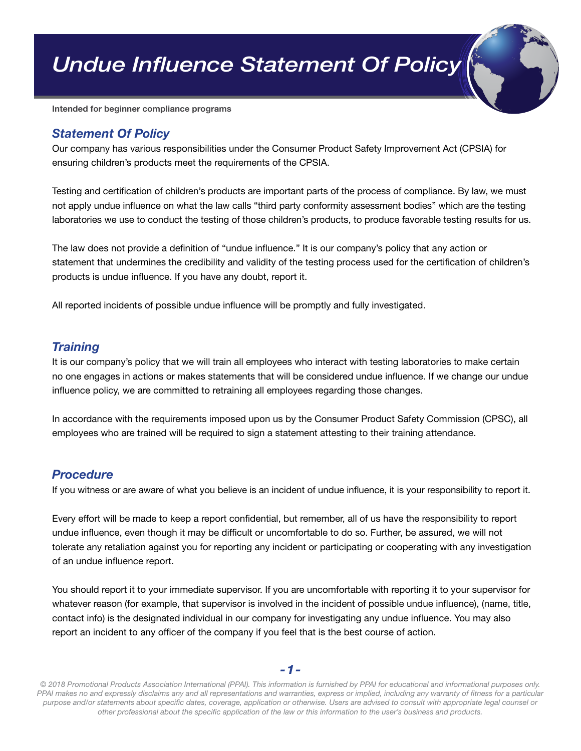*Undue Influence Statement Of Policy*

Intended for beginner compliance programs

## *Statement Of Policy*

Our company has various responsibilities under the Consumer Product Safety Improvement Act (CPSIA) for ensuring children's products meet the requirements of the CPSIA.

Testing and certification of children's products are important parts of the process of compliance. By law, we must not apply undue influence on what the law calls "third party conformity assessment bodies" which are the testing laboratories we use to conduct the testing of those children's products, to produce favorable testing results for us.

The law does not provide a definition of "undue influence." It is our company's policy that any action or statement that undermines the credibility and validity of the testing process used for the certification of children's products is undue influence. If you have any doubt, report it.

All reported incidents of possible undue influence will be promptly and fully investigated.

## *Training*

It is our company's policy that we will train all employees who interact with testing laboratories to make certain no one engages in actions or makes statements that will be considered undue influence. If we change our undue influence policy, we are committed to retraining all employees regarding those changes.

In accordance with the requirements imposed upon us by the Consumer Product Safety Commission (CPSC), all employees who are trained will be required to sign a statement attesting to their training attendance.

## *Procedure*

If you witness or are aware of what you believe is an incident of undue influence, it is your responsibility to report it.

Every effort will be made to keep a report confidential, but remember, all of us have the responsibility to report undue influence, even though it may be difficult or uncomfortable to do so. Further, be assured, we will not tolerate any retaliation against you for reporting any incident or participating or cooperating with any investigation of an undue influence report.

You should report it to your immediate supervisor. If you are uncomfortable with reporting it to your supervisor for whatever reason (for example, that supervisor is involved in the incident of possible undue influence), (name, title, contact info) is the designated individual in our company for investigating any undue influence. You may also report an incident to any officer of the company if you feel that is the best course of action.

*-1-*

*© 2018 Promotional Products Association International (PPAI). This information is furnished by PPAI for educational and informational purposes only. PPAI makes no and expressly disclaims any and all representations and warranties, express or implied, including any warranty of fitness for a particular purpose and/or statements about specific dates, coverage, application or otherwise. Users are advised to consult with appropriate legal counsel or other professional about the specific application of the law or this information to the user's business and products.*